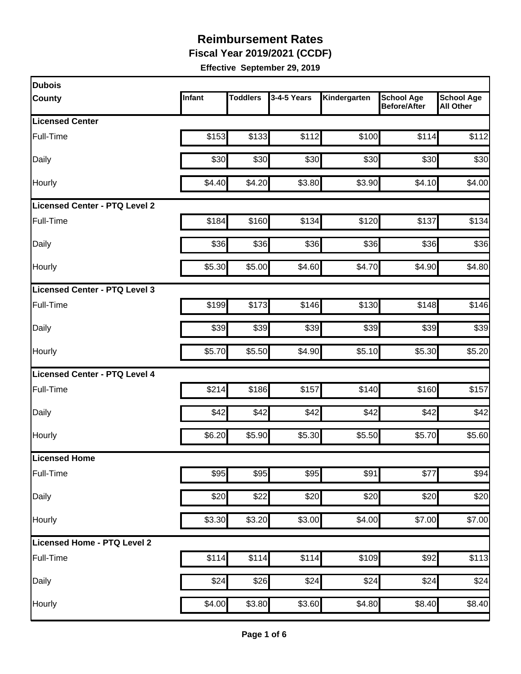**Fiscal Year 2019/2021 (CCDF)**

| <b>Dubois</b>                        |        |                 |             |              |                                          |                                       |
|--------------------------------------|--------|-----------------|-------------|--------------|------------------------------------------|---------------------------------------|
| <b>County</b>                        | Infant | <b>Toddlers</b> | 3-4-5 Years | Kindergarten | <b>School Age</b><br><b>Before/After</b> | <b>School Age</b><br><b>All Other</b> |
| <b>Licensed Center</b>               |        |                 |             |              |                                          |                                       |
| Full-Time                            | \$153  | \$133           | \$112       | \$100        | \$114                                    | \$112                                 |
| Daily                                | \$30   | \$30            | \$30        | \$30         | \$30                                     | \$30                                  |
| Hourly                               | \$4.40 | \$4.20          | \$3.80      | \$3.90       | \$4.10                                   | \$4.00                                |
| <b>Licensed Center - PTQ Level 2</b> |        |                 |             |              |                                          |                                       |
| Full-Time                            | \$184  | \$160           | \$134       | \$120        | \$137                                    | \$134                                 |
| Daily                                | \$36   | \$36            | \$36        | \$36         | \$36                                     | \$36                                  |
| Hourly                               | \$5.30 | \$5.00          | \$4.60      | \$4.70       | \$4.90                                   | \$4.80                                |
| Licensed Center - PTQ Level 3        |        |                 |             |              |                                          |                                       |
| Full-Time                            | \$199  | \$173           | \$146       | \$130        | \$148                                    | \$146                                 |
| Daily                                | \$39   | \$39            | \$39        | \$39         | \$39                                     | \$39                                  |
| Hourly                               | \$5.70 | \$5.50          | \$4.90      | \$5.10       | \$5.30                                   | \$5.20                                |
| <b>Licensed Center - PTQ Level 4</b> |        |                 |             |              |                                          |                                       |
| Full-Time                            | \$214  | \$186           | \$157       | \$140        | \$160                                    | \$157                                 |
| Daily                                | \$42   | \$42            | \$42        | \$42         | \$42                                     | \$42                                  |
| Hourly                               | \$6.20 | \$5.90          | \$5.30      | \$5.50       | \$5.70                                   | \$5.60                                |
| Licensed Home                        |        |                 |             |              |                                          |                                       |
| Full-Time                            | \$95   | \$95            | \$95        | \$91         | \$77                                     | \$94                                  |
| Daily                                | \$20   | \$22            | \$20        | \$20         | \$20                                     | \$20                                  |
| Hourly                               | \$3.30 | \$3.20          | \$3.00      | \$4.00       | \$7.00                                   | \$7.00                                |
| Licensed Home - PTQ Level 2          |        |                 |             |              |                                          |                                       |
| Full-Time                            | \$114  | \$114           | \$114       | \$109        | \$92                                     | \$113                                 |
| Daily                                | \$24   | \$26            | \$24        | \$24         | \$24                                     | \$24                                  |
| Hourly                               | \$4.00 | \$3.80          | \$3.60      | \$4.80       | \$8.40                                   | \$8.40                                |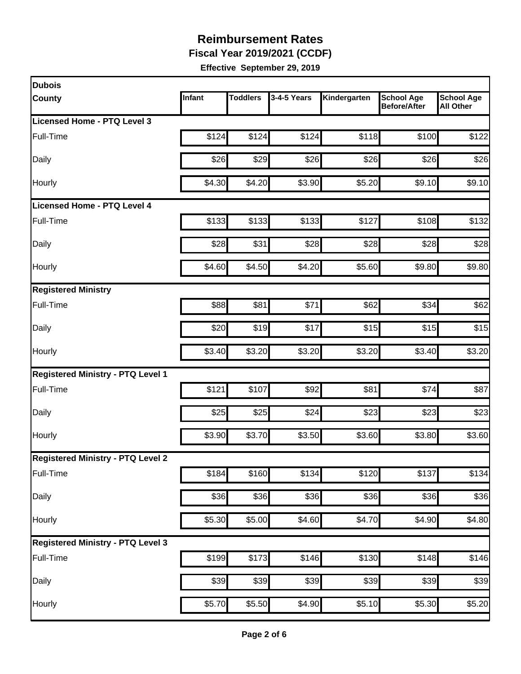**Fiscal Year 2019/2021 (CCDF)**

| <b>Dubois</b>                            |        |                    |             |                    |                                          |                                       |
|------------------------------------------|--------|--------------------|-------------|--------------------|------------------------------------------|---------------------------------------|
| <b>County</b>                            | Infant | <b>Toddlers</b>    | 3-4-5 Years | Kindergarten       | <b>School Age</b><br><b>Before/After</b> | <b>School Age</b><br><b>All Other</b> |
| Licensed Home - PTQ Level 3              |        |                    |             |                    |                                          |                                       |
| Full-Time                                | \$124  | \$124              | \$124       | \$118              | \$100                                    | \$122                                 |
| Daily                                    | \$26   | \$29               | \$26        | \$26               | \$26                                     | \$26                                  |
| Hourly                                   | \$4.30 | \$4.20             | \$3.90      | \$5.20             | \$9.10                                   | \$9.10                                |
| <b>Licensed Home - PTQ Level 4</b>       |        |                    |             |                    |                                          |                                       |
| Full-Time                                | \$133  | \$133              | \$133       | \$127              | \$108                                    | \$132                                 |
| Daily                                    | \$28   | \$31               | \$28        | \$28               | \$28                                     | \$28                                  |
| Hourly                                   | \$4.60 | \$4.50             | \$4.20      | \$5.60             | \$9.80                                   | \$9.80                                |
| <b>Registered Ministry</b>               |        |                    |             |                    |                                          |                                       |
| Full-Time                                | \$88   | \$81               | \$71        | \$62               | \$34                                     | \$62                                  |
| Daily                                    | \$20   | \$19               | \$17        | \$15               | \$15                                     | \$15                                  |
| Hourly                                   | \$3.40 | \$3.20             | \$3.20      | \$3.20             | \$3.40                                   | \$3.20                                |
| <b>Registered Ministry - PTQ Level 1</b> |        |                    |             |                    |                                          |                                       |
| Full-Time                                | \$121  | \$107              | \$92        | \$81               | \$74                                     | \$87                                  |
| Daily                                    | \$25   | \$25               | \$24        | \$23               | \$23                                     | \$23                                  |
| Hourly                                   | \$3.90 | \$3.70             | \$3.50      | \$3.60             | \$3.80                                   | \$3.60                                |
| <b>Registered Ministry - PTQ Level 2</b> |        |                    |             |                    |                                          |                                       |
| Full-Time                                | \$184  | \$160              | \$134       | $\overline{$}120$  | \$137                                    | \$134                                 |
| <b>Daily</b>                             | \$36   | \$36               | \$36        | \$36               | \$36                                     | \$36                                  |
| Hourly                                   | \$5.30 | $\overline{$}5.00$ | \$4.60      | \$4.70             | \$4.90                                   | \$4.80                                |
| <b>Registered Ministry - PTQ Level 3</b> |        |                    |             |                    |                                          |                                       |
| Full-Time                                | \$199  | \$173              | \$146       | \$130              | \$148                                    | \$146                                 |
| Daily                                    | \$39   | \$39               | \$39        | \$39               | \$39                                     | \$39                                  |
| Hourly                                   | \$5.70 | \$5.50             | \$4.90      | $\overline{$5.10}$ | \$5.30                                   | \$5.20                                |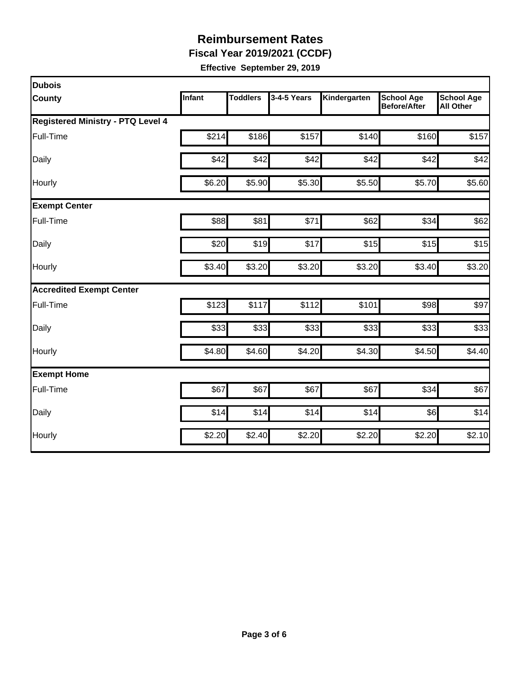**Fiscal Year 2019/2021 (CCDF)**

| <b>Dubois</b>                            |        |                 |             |              |                                          |                                       |
|------------------------------------------|--------|-----------------|-------------|--------------|------------------------------------------|---------------------------------------|
| County                                   | Infant | <b>Toddlers</b> | 3-4-5 Years | Kindergarten | <b>School Age</b><br><b>Before/After</b> | <b>School Age</b><br><b>All Other</b> |
| <b>Registered Ministry - PTQ Level 4</b> |        |                 |             |              |                                          |                                       |
| Full-Time                                | \$214  | \$186           | \$157       | \$140        | \$160                                    | \$157                                 |
| Daily                                    | \$42   | \$42            | \$42        | \$42         | \$42                                     | \$42                                  |
| Hourly                                   | \$6.20 | \$5.90          | \$5.30      | \$5.50       | \$5.70                                   | \$5.60                                |
| <b>Exempt Center</b>                     |        |                 |             |              |                                          |                                       |
| Full-Time                                | \$88   | \$81            | \$71        | \$62         | \$34                                     | \$62                                  |
| Daily                                    | \$20   | \$19            | \$17        | \$15         | \$15                                     | \$15                                  |
| Hourly                                   | \$3.40 | \$3.20          | \$3.20      | \$3.20       | \$3.40                                   | \$3.20                                |
| <b>Accredited Exempt Center</b>          |        |                 |             |              |                                          |                                       |
| Full-Time                                | \$123  | \$117           | \$112       | \$101        | \$98                                     | \$97                                  |
| Daily                                    | \$33   | \$33            | \$33        | \$33         | \$33                                     | \$33                                  |
| Hourly                                   | \$4.80 | \$4.60          | \$4.20      | \$4.30       | \$4.50                                   | \$4.40                                |
| <b>Exempt Home</b>                       |        |                 |             |              |                                          |                                       |
| Full-Time                                | \$67   | \$67            | \$67        | \$67         | \$34                                     | \$67                                  |
| Daily                                    | \$14   | \$14            | \$14        | \$14         | \$6]                                     | \$14                                  |
| Hourly                                   | \$2.20 | \$2.40          | \$2.20      | \$2.20       | \$2.20                                   | \$2.10                                |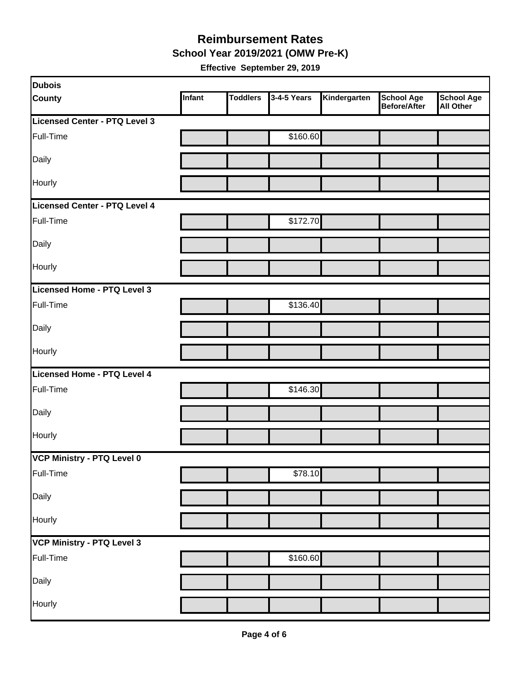**School Year 2019/2021 (OMW Pre-K)**

| Dubois                        |        |                 |             |              |                                   |                                       |
|-------------------------------|--------|-----------------|-------------|--------------|-----------------------------------|---------------------------------------|
| <b>County</b>                 | Infant | <b>Toddlers</b> | 3-4-5 Years | Kindergarten | <b>School Age</b><br>Before/After | <b>School Age</b><br><b>All Other</b> |
| Licensed Center - PTQ Level 3 |        |                 |             |              |                                   |                                       |
| Full-Time                     |        |                 | \$160.60    |              |                                   |                                       |
| Daily                         |        |                 |             |              |                                   |                                       |
| Hourly                        |        |                 |             |              |                                   |                                       |
| Licensed Center - PTQ Level 4 |        |                 |             |              |                                   |                                       |
| Full-Time                     |        |                 | \$172.70    |              |                                   |                                       |
| Daily                         |        |                 |             |              |                                   |                                       |
| Hourly                        |        |                 |             |              |                                   |                                       |
| Licensed Home - PTQ Level 3   |        |                 |             |              |                                   |                                       |
| Full-Time                     |        |                 | \$136.40    |              |                                   |                                       |
| Daily                         |        |                 |             |              |                                   |                                       |
| Hourly                        |        |                 |             |              |                                   |                                       |
| Licensed Home - PTQ Level 4   |        |                 |             |              |                                   |                                       |
| Full-Time                     |        |                 | \$146.30    |              |                                   |                                       |
| Daily                         |        |                 |             |              |                                   |                                       |
| Hourly                        |        |                 |             |              |                                   |                                       |
| VCP Ministry - PTQ Level 0    |        |                 |             |              |                                   |                                       |
| Full-Time                     |        |                 | \$78.10     |              |                                   |                                       |
| Daily                         |        |                 |             |              |                                   |                                       |
| Hourly                        |        |                 |             |              |                                   |                                       |
| VCP Ministry - PTQ Level 3    |        |                 |             |              |                                   |                                       |
| Full-Time                     |        |                 | \$160.60    |              |                                   |                                       |
| Daily                         |        |                 |             |              |                                   |                                       |
| Hourly                        |        |                 |             |              |                                   |                                       |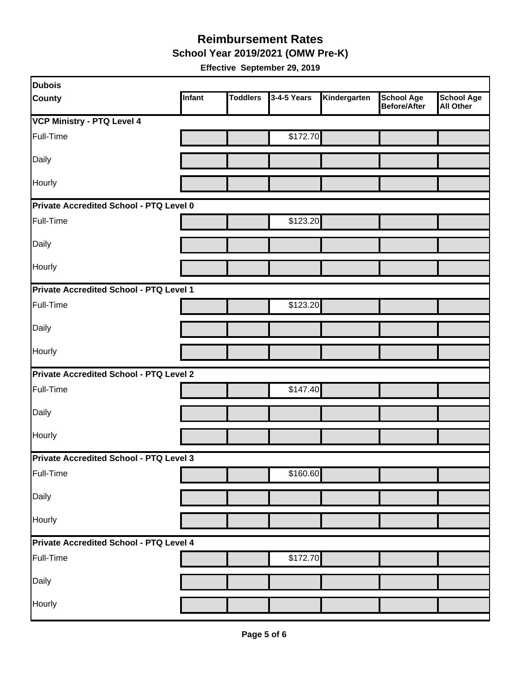**School Year 2019/2021 (OMW Pre-K)**

| <b>Dubois</b>                           |        |                 |             |              |                                          |                                       |  |  |
|-----------------------------------------|--------|-----------------|-------------|--------------|------------------------------------------|---------------------------------------|--|--|
| <b>County</b>                           | Infant | <b>Toddlers</b> | 3-4-5 Years | Kindergarten | <b>School Age</b><br><b>Before/After</b> | <b>School Age</b><br><b>All Other</b> |  |  |
| <b>VCP Ministry - PTQ Level 4</b>       |        |                 |             |              |                                          |                                       |  |  |
| Full-Time                               |        |                 | \$172.70    |              |                                          |                                       |  |  |
| Daily                                   |        |                 |             |              |                                          |                                       |  |  |
| Hourly                                  |        |                 |             |              |                                          |                                       |  |  |
| Private Accredited School - PTQ Level 0 |        |                 |             |              |                                          |                                       |  |  |
| Full-Time                               |        |                 | \$123.20    |              |                                          |                                       |  |  |
| Daily                                   |        |                 |             |              |                                          |                                       |  |  |
| Hourly                                  |        |                 |             |              |                                          |                                       |  |  |
| Private Accredited School - PTQ Level 1 |        |                 |             |              |                                          |                                       |  |  |
| Full-Time                               |        |                 | \$123.20    |              |                                          |                                       |  |  |
| Daily                                   |        |                 |             |              |                                          |                                       |  |  |
| Hourly                                  |        |                 |             |              |                                          |                                       |  |  |
| Private Accredited School - PTQ Level 2 |        |                 |             |              |                                          |                                       |  |  |
| Full-Time                               |        |                 | \$147.40    |              |                                          |                                       |  |  |
| Daily                                   |        |                 |             |              |                                          |                                       |  |  |
| Hourly                                  |        |                 |             |              |                                          |                                       |  |  |
| Private Accredited School - PTQ Level 3 |        |                 |             |              |                                          |                                       |  |  |
| Full-Time                               |        |                 | \$160.60    |              |                                          |                                       |  |  |
| Daily                                   |        |                 |             |              |                                          |                                       |  |  |
| Hourly                                  |        |                 |             |              |                                          |                                       |  |  |
| Private Accredited School - PTQ Level 4 |        |                 |             |              |                                          |                                       |  |  |
| Full-Time                               |        |                 | \$172.70    |              |                                          |                                       |  |  |
| Daily                                   |        |                 |             |              |                                          |                                       |  |  |
| Hourly                                  |        |                 |             |              |                                          |                                       |  |  |